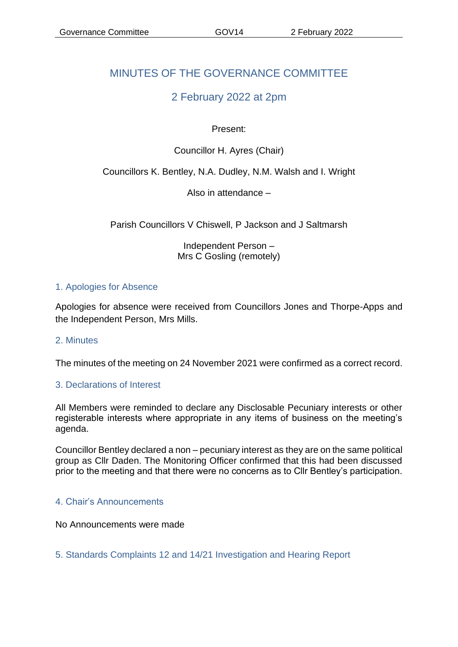# MINUTES OF THE GOVERNANCE COMMITTEE

# 2 February 2022 at 2pm

## Present:

# Councillor H. Ayres (Chair)

## Councillors K. Bentley, N.A. Dudley, N.M. Walsh and I. Wright

Also in attendance –

Parish Councillors V Chiswell, P Jackson and J Saltmarsh

Independent Person – Mrs C Gosling (remotely)

#### 1. Apologies for Absence

Apologies for absence were received from Councillors Jones and Thorpe-Apps and the Independent Person, Mrs Mills.

#### 2. Minutes

The minutes of the meeting on 24 November 2021 were confirmed as a correct record.

#### 3. Declarations of Interest

All Members were reminded to declare any Disclosable Pecuniary interests or other registerable interests where appropriate in any items of business on the meeting's agenda.

Councillor Bentley declared a non – pecuniary interest as they are on the same political group as Cllr Daden. The Monitoring Officer confirmed that this had been discussed prior to the meeting and that there were no concerns as to Cllr Bentley's participation.

#### 4. Chair's Announcements

No Announcements were made

5. Standards Complaints 12 and 14/21 Investigation and Hearing Report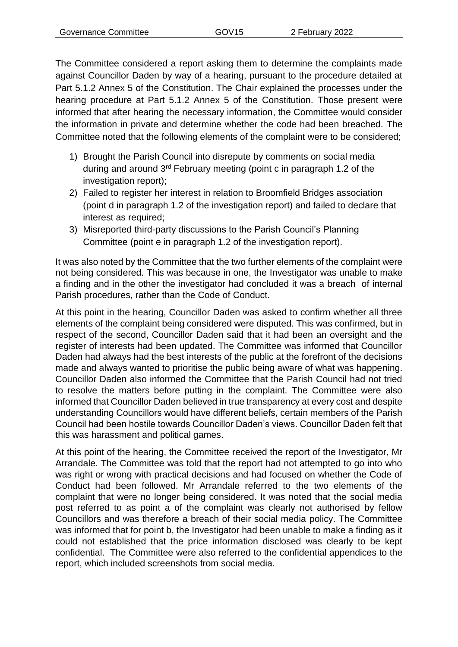The Committee considered a report asking them to determine the complaints made against Councillor Daden by way of a hearing, pursuant to the procedure detailed at Part 5.1.2 Annex 5 of the Constitution. The Chair explained the processes under the hearing procedure at Part 5.1.2 Annex 5 of the Constitution. Those present were informed that after hearing the necessary information, the Committee would consider the information in private and determine whether the code had been breached. The Committee noted that the following elements of the complaint were to be considered;

- 1) Brought the Parish Council into disrepute by comments on social media during and around 3rd February meeting (point c in paragraph 1.2 of the investigation report);
- 2) Failed to register her interest in relation to Broomfield Bridges association (point d in paragraph 1.2 of the investigation report) and failed to declare that interest as required;
- 3) Misreported third-party discussions to the Parish Council's Planning Committee (point e in paragraph 1.2 of the investigation report).

It was also noted by the Committee that the two further elements of the complaint were not being considered. This was because in one, the Investigator was unable to make a finding and in the other the investigator had concluded it was a breach of internal Parish procedures, rather than the Code of Conduct.

At this point in the hearing, Councillor Daden was asked to confirm whether all three elements of the complaint being considered were disputed. This was confirmed, but in respect of the second, Councillor Daden said that it had been an oversight and the register of interests had been updated. The Committee was informed that Councillor Daden had always had the best interests of the public at the forefront of the decisions made and always wanted to prioritise the public being aware of what was happening. Councillor Daden also informed the Committee that the Parish Council had not tried to resolve the matters before putting in the complaint. The Committee were also informed that Councillor Daden believed in true transparency at every cost and despite understanding Councillors would have different beliefs, certain members of the Parish Council had been hostile towards Councillor Daden's views. Councillor Daden felt that this was harassment and political games.

At this point of the hearing, the Committee received the report of the Investigator, Mr Arrandale. The Committee was told that the report had not attempted to go into who was right or wrong with practical decisions and had focused on whether the Code of Conduct had been followed. Mr Arrandale referred to the two elements of the complaint that were no longer being considered. It was noted that the social media post referred to as point a of the complaint was clearly not authorised by fellow Councillors and was therefore a breach of their social media policy. The Committee was informed that for point b, the Investigator had been unable to make a finding as it could not established that the price information disclosed was clearly to be kept confidential. The Committee were also referred to the confidential appendices to the report, which included screenshots from social media.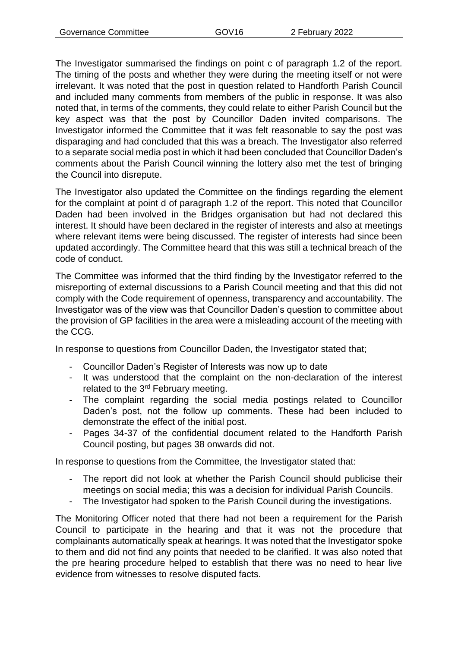The Investigator summarised the findings on point c of paragraph 1.2 of the report. The timing of the posts and whether they were during the meeting itself or not were irrelevant. It was noted that the post in question related to Handforth Parish Council and included many comments from members of the public in response. It was also noted that, in terms of the comments, they could relate to either Parish Council but the key aspect was that the post by Councillor Daden invited comparisons. The Investigator informed the Committee that it was felt reasonable to say the post was disparaging and had concluded that this was a breach. The Investigator also referred to a separate social media post in which it had been concluded that Councillor Daden's comments about the Parish Council winning the lottery also met the test of bringing the Council into disrepute.

The Investigator also updated the Committee on the findings regarding the element for the complaint at point d of paragraph 1.2 of the report. This noted that Councillor Daden had been involved in the Bridges organisation but had not declared this interest. It should have been declared in the register of interests and also at meetings where relevant items were being discussed. The register of interests had since been updated accordingly. The Committee heard that this was still a technical breach of the code of conduct.

The Committee was informed that the third finding by the Investigator referred to the misreporting of external discussions to a Parish Council meeting and that this did not comply with the Code requirement of openness, transparency and accountability. The Investigator was of the view was that Councillor Daden's question to committee about the provision of GP facilities in the area were a misleading account of the meeting with the CCG.

In response to questions from Councillor Daden, the Investigator stated that;

- Councillor Daden's Register of Interests was now up to date
- It was understood that the complaint on the non-declaration of the interest related to the 3<sup>rd</sup> February meeting.
- The complaint regarding the social media postings related to Councillor Daden's post, not the follow up comments. These had been included to demonstrate the effect of the initial post.
- Pages 34-37 of the confidential document related to the Handforth Parish Council posting, but pages 38 onwards did not.

In response to questions from the Committee, the Investigator stated that:

- The report did not look at whether the Parish Council should publicise their meetings on social media; this was a decision for individual Parish Councils.
- The Investigator had spoken to the Parish Council during the investigations.

The Monitoring Officer noted that there had not been a requirement for the Parish Council to participate in the hearing and that it was not the procedure that complainants automatically speak at hearings. It was noted that the Investigator spoke to them and did not find any points that needed to be clarified. It was also noted that the pre hearing procedure helped to establish that there was no need to hear live evidence from witnesses to resolve disputed facts.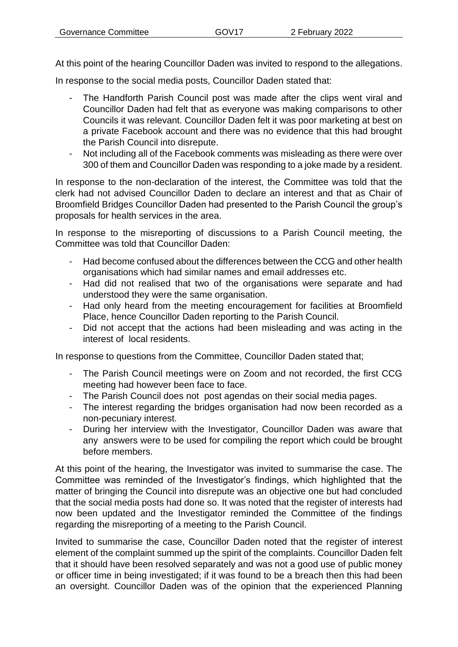At this point of the hearing Councillor Daden was invited to respond to the allegations.

In response to the social media posts, Councillor Daden stated that:

- The Handforth Parish Council post was made after the clips went viral and Councillor Daden had felt that as everyone was making comparisons to other Councils it was relevant. Councillor Daden felt it was poor marketing at best on a private Facebook account and there was no evidence that this had brought the Parish Council into disrepute.
- Not including all of the Facebook comments was misleading as there were over 300 of them and Councillor Daden was responding to a joke made by a resident.

In response to the non-declaration of the interest, the Committee was told that the clerk had not advised Councillor Daden to declare an interest and that as Chair of Broomfield Bridges Councillor Daden had presented to the Parish Council the group's proposals for health services in the area.

In response to the misreporting of discussions to a Parish Council meeting, the Committee was told that Councillor Daden:

- Had become confused about the differences between the CCG and other health organisations which had similar names and email addresses etc.
- Had did not realised that two of the organisations were separate and had understood they were the same organisation.
- Had only heard from the meeting encouragement for facilities at Broomfield Place, hence Councillor Daden reporting to the Parish Council.
- Did not accept that the actions had been misleading and was acting in the interest of local residents.

In response to questions from the Committee, Councillor Daden stated that;

- The Parish Council meetings were on Zoom and not recorded, the first CCG meeting had however been face to face.
- The Parish Council does not post agendas on their social media pages.
- The interest regarding the bridges organisation had now been recorded as a non-pecuniary interest.
- During her interview with the Investigator, Councillor Daden was aware that any answers were to be used for compiling the report which could be brought before members.

At this point of the hearing, the Investigator was invited to summarise the case. The Committee was reminded of the Investigator's findings, which highlighted that the matter of bringing the Council into disrepute was an objective one but had concluded that the social media posts had done so. It was noted that the register of interests had now been updated and the Investigator reminded the Committee of the findings regarding the misreporting of a meeting to the Parish Council.

Invited to summarise the case, Councillor Daden noted that the register of interest element of the complaint summed up the spirit of the complaints. Councillor Daden felt that it should have been resolved separately and was not a good use of public money or officer time in being investigated; if it was found to be a breach then this had been an oversight. Councillor Daden was of the opinion that the experienced Planning